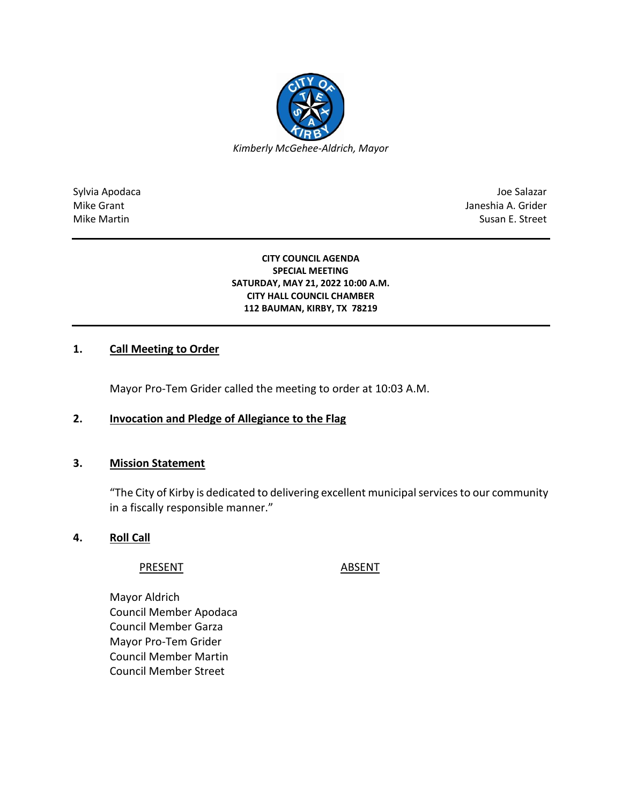

Sylvia Apodaca Joe Salazar Joe Salazar Joe Salazar Joe Salazar Joe Salazar Joe Salazar Mike Grant **Janeshia A. Grider** Mike Grant Janeshia A. Grider Mike Martin Susan E. Street

#### **CITY COUNCIL AGENDA SPECIAL MEETING SATURDAY, MAY 21, 2022 10:00 A.M. CITY HALL COUNCIL CHAMBER 112 BAUMAN, KIRBY, TX 78219**

# **1. Call Meeting to Order**

Mayor Pro-Tem Grider called the meeting to order at 10:03 A.M.

# **2. Invocation and Pledge of Allegiance to the Flag**

# **3. Mission Statement**

"The City of Kirby is dedicated to delivering excellent municipal services to our community in a fiscally responsible manner."

### **4. Roll Call**

#### PRESENT ABSENT

Mayor Aldrich Council Member Apodaca Council Member Garza Mayor Pro-Tem Grider Council Member Martin Council Member Street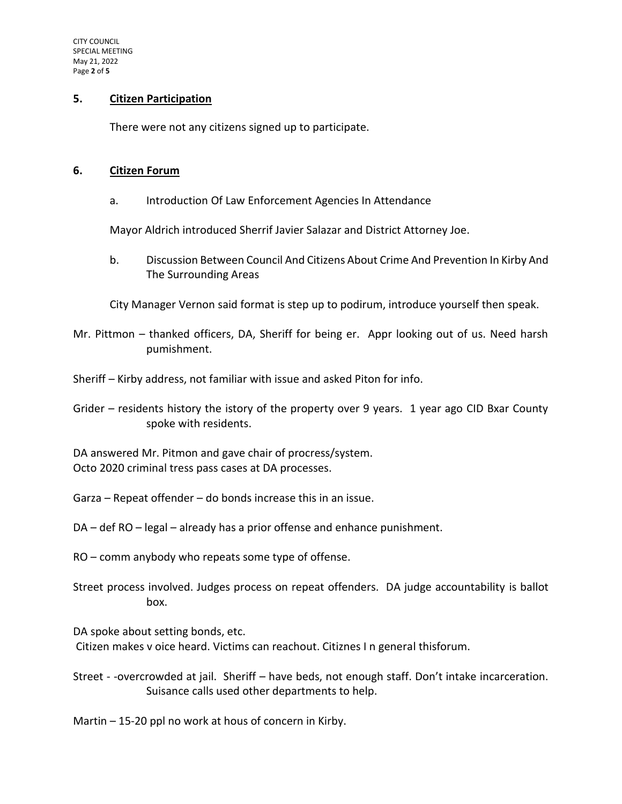### **5. Citizen Participation**

There were not any citizens signed up to participate.

#### **6. Citizen Forum**

a. Introduction Of Law Enforcement Agencies In Attendance

Mayor Aldrich introduced Sherrif Javier Salazar and District Attorney Joe.

b. Discussion Between Council And Citizens About Crime And Prevention In Kirby And The Surrounding Areas

City Manager Vernon said format is step up to podirum, introduce yourself then speak.

- Mr. Pittmon thanked officers, DA, Sheriff for being er. Appr looking out of us. Need harsh pumishment.
- Sheriff Kirby address, not familiar with issue and asked Piton for info.

Grider – residents history the istory of the property over 9 years. 1 year ago CID Bxar County spoke with residents.

DA answered Mr. Pitmon and gave chair of procress/system. Octo 2020 criminal tress pass cases at DA processes.

- Garza Repeat offender do bonds increase this in an issue.
- DA def RO legal already has a prior offense and enhance punishment.
- RO comm anybody who repeats some type of offense.
- Street process involved. Judges process on repeat offenders. DA judge accountability is ballot box.

DA spoke about setting bonds, etc. Citizen makes v oice heard. Victims can reachout. Citiznes I n general thisforum.

Street - -overcrowded at jail. Sheriff – have beds, not enough staff. Don't intake incarceration. Suisance calls used other departments to help.

Martin – 15-20 ppl no work at hous of concern in Kirby.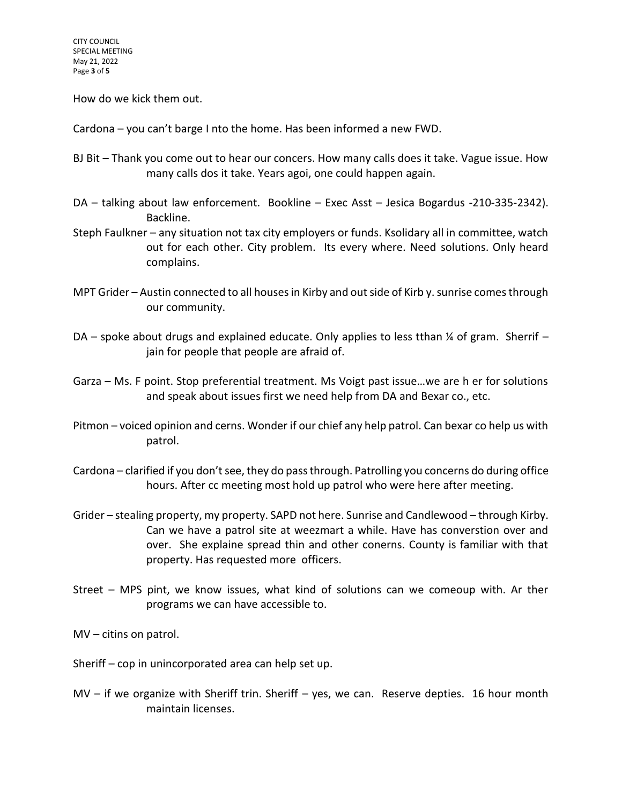How do we kick them out.

Cardona – you can't barge I nto the home. Has been informed a new FWD.

- BJ Bit Thank you come out to hear our concers. How many calls does it take. Vague issue. How many calls dos it take. Years agoi, one could happen again.
- DA talking about law enforcement. Bookline Exec Asst Jesica Bogardus -210-335-2342). Backline.
- Steph Faulkner any situation not tax city employers or funds. Ksolidary all in committee, watch out for each other. City problem. Its every where. Need solutions. Only heard complains.
- MPT Grider Austin connected to all houses in Kirby and out side of Kirb y. sunrise comes through our community.
- DA spoke about drugs and explained educate. Only applies to less tthan  $\frac{1}{4}$  of gram. Sherrif jain for people that people are afraid of.
- Garza Ms. F point. Stop preferential treatment. Ms Voigt past issue…we are h er for solutions and speak about issues first we need help from DA and Bexar co., etc.
- Pitmon voiced opinion and cerns. Wonder if our chief any help patrol. Can bexar co help us with patrol.
- Cardona clarified if you don't see, they do pass through. Patrolling you concerns do during office hours. After cc meeting most hold up patrol who were here after meeting.
- Grider stealing property, my property. SAPD not here. Sunrise and Candlewood through Kirby. Can we have a patrol site at weezmart a while. Have has converstion over and over. She explaine spread thin and other conerns. County is familiar with that property. Has requested more officers.
- Street MPS pint, we know issues, what kind of solutions can we comeoup with. Ar ther programs we can have accessible to.
- MV citins on patrol.
- Sheriff cop in unincorporated area can help set up.
- MV if we organize with Sheriff trin. Sheriff yes, we can. Reserve depties. 16 hour month maintain licenses.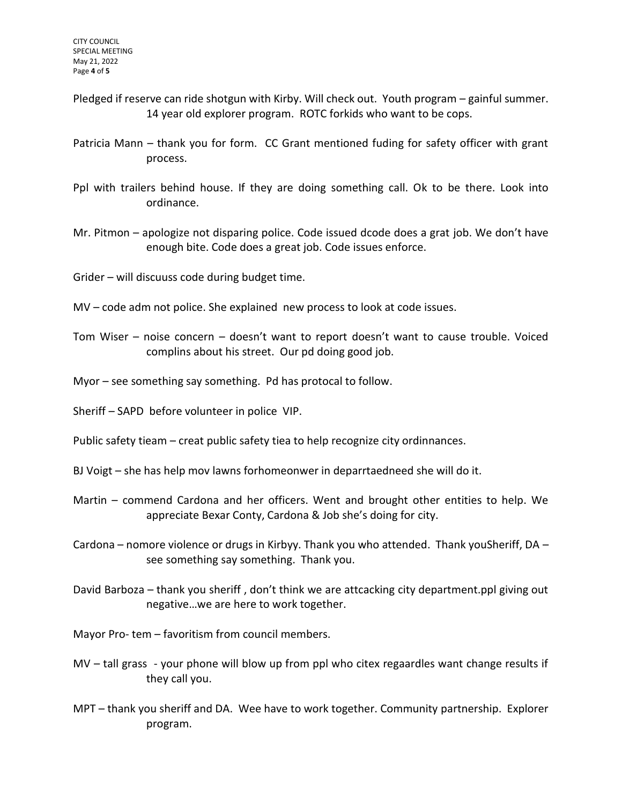- Pledged if reserve can ride shotgun with Kirby. Will check out. Youth program gainful summer. 14 year old explorer program. ROTC forkids who want to be cops.
- Patricia Mann thank you for form. CC Grant mentioned fuding for safety officer with grant process.
- Ppl with trailers behind house. If they are doing something call. Ok to be there. Look into ordinance.
- Mr. Pitmon apologize not disparing police. Code issued dcode does a grat job. We don't have enough bite. Code does a great job. Code issues enforce.

Grider – will discuuss code during budget time.

- MV code adm not police. She explained new process to look at code issues.
- Tom Wiser noise concern doesn't want to report doesn't want to cause trouble. Voiced complins about his street. Our pd doing good job.
- Myor see something say something. Pd has protocal to follow.
- Sheriff SAPD before volunteer in police VIP.
- Public safety tieam creat public safety tiea to help recognize city ordinnances.
- BJ Voigt she has help mov lawns forhomeonwer in deparrtaedneed she will do it.
- Martin commend Cardona and her officers. Went and brought other entities to help. We appreciate Bexar Conty, Cardona & Job she's doing for city.
- Cardona nomore violence or drugs in Kirbyy. Thank you who attended. Thank youSheriff, DA see something say something. Thank you.
- David Barboza thank you sheriff , don't think we are attcacking city department.ppl giving out negative…we are here to work together.

Mayor Pro- tem – favoritism from council members.

- MV tall grass your phone will blow up from ppl who citex regaardles want change results if they call you.
- MPT thank you sheriff and DA. Wee have to work together. Community partnership. Explorer program.